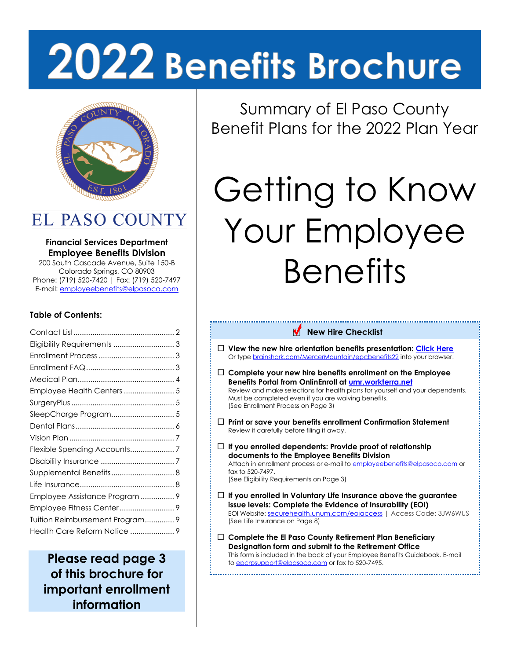# 2022 Benefits Brochure



EL PASO COUNTY

### **Financial Services Department Employee Benefits Division**

200 South Cascade Avenue, Suite 150-B Colorado Springs, CO 80903 Phone: (719) 520-7420 | Fax: (719) 520-7497 E-mail[: employeebenefits@elpasoco.com](mailto:employeebenefits@elpasoco.com)

### **Table of Contents:**

| Eligibility Requirements  3     |  |
|---------------------------------|--|
|                                 |  |
|                                 |  |
|                                 |  |
| Employee Health Centers  5      |  |
|                                 |  |
| SleepCharge Program 5           |  |
|                                 |  |
|                                 |  |
| Flexible Spending Accounts7     |  |
|                                 |  |
| Supplemental Benefits 8         |  |
|                                 |  |
| Employee Assistance Program  9  |  |
|                                 |  |
| Tuition Reimbursement Program 9 |  |
| Health Care Reform Notice  9    |  |
|                                 |  |

**Please read page 3 of this brochure for important enrollment information**

Summary of El Paso County Benefit Plans for the 2022 Plan Year

# Getting to Know Your Employee **Benefits**

### **New Hire Checklist**

- **View the new hire orientation benefits presentation: [Click Here](https://www.brainshark.com/MercerMountain/epcbenefits22)** Or typ[e brainshark.com/MercerMountain/epcbenefits22](https://www.brainshark.com/MercerMountain/epcbenefits22) into your browser.
- **Complete your new hire benefits enrollment on the Employee Benefits Portal from OnlinEnroll a[t umr.workterra.net](https://umr.workterra.net/)** Review and make selections for health plans for yourself and your dependents. Must be completed even if you are waiving benefits. [\(See Enrollment Process on Page 3\)](#page-2-1)
- **Print or save your benefits enrollment Confirmation Statement** Review it carefully before filing it away.
- **If you enrolled dependents: Provide proof of relationship documents to the Employee Benefits Division** Attach in enrollment process or e-mail t[o employeebenefits@elpasoco.com](mailto:employeebenefits@elpasoco.com) or fax to  $520-7497$ . [\(See Eligibility Requirements on Page 3\)](#page-2-0)
- **If you enrolled in Voluntary Life Insurance above the guarantee issue levels: Complete the Evidence of Insurability (EOI)** EOI Website: [securehealth.unum.com/eoiaccess](http://securehealth.unum.com/eoiaccess) | Access Code: 3JW6WUS [\(See Life Insurance on Page 8\)](#page-7-1)
- **Complete the El Paso County Retirement Plan Beneficiary Designation form and submit to the Retirement Office** This form is included in the back of your Employee Benefits Guidebook. E-mail to [epcrpsupport@elpasoco.com](mailto:epcrpsupport@elpasoco.com) or fax to 520-7495.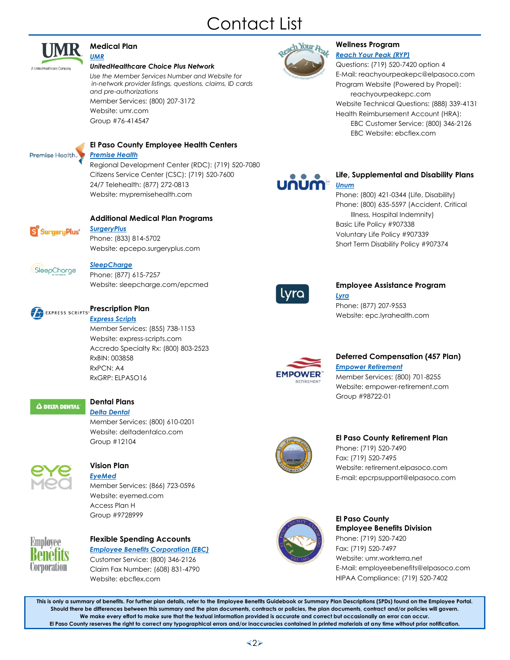# Contact List

<span id="page-1-0"></span>

#### **[Medical Plan](#page-3-0)** *[UMR](#page-3-0)*

#### *UnitedHealthcare Choice Plus Network*

*Use the Member Services Number and Website for in-network provider listings, questions, claims, ID cards and pre-authorizations* Member Services: (800) 207-3172 Website: [umr.com](http://www.umr.com/)

Group #76-414547



### **[El Paso County Employee Health Centers](#page-4-0)**

*[Premise Health](#page-4-0)*

Regional Development Center (RDC): (719) 520-7080 Citizens Service Center (CSC): (719) 520-7600 24/7 Telehealth: (877) 272-0813 Website: [mypremisehealth.com](http://mypremisehealth.com/)



### **[Additional Medical Plan Programs](#page-4-1)**

*[SurgeryPlus](#page-4-1)*  Phone: (833) 814-5702 Website: [epcepo.surgeryplus.com](http://epcepo.surgeryplus.com/)



### *[SleepCharge](#page-4-2)*

Phone: (877) 615-7257 Website: [sleepcharge.com/epcmed](http://sleepcharge.com/epcmed)



*[Express Scripts](#page-3-1)* Member Services: (855) 738-1153 Website: [express-scripts.com](http://www.express-scripts.com/) Accredo Specialty Rx: (800) 803-2523 RxBIN: 003858 RxPCN: A4 RxGRP: ELPASO16



### **[Dental Plans](#page-5-0)**

*[Delta Dental](#page-5-0)* Member Services: (800) 610-0201 Website: [deltadentalco.com](http://www.deltadentalco.com/) Group #12104



### **[Vision Plan](#page-6-0)**

*[EyeMed](#page-6-0)* Member Services: (866) 723-0596 Website: [eyemed.com](http://www.eyemed.com/) Access Plan H Group #9728999



### **[Flexible Spending Accounts](#page-6-1)** *[Employee Benefits Corporation \(EBC\)](#page-6-1)*

Customer Service: (800) 346-2126 Claim Fax Number: (608) 831-4790 Website: [ebcflex.com](http://www.ebcflex.com/)



#### **[Wellness Program](#page-3-2)** *[Reach Your Peak \(RYP\)](#page-3-2)*

Questions: (719) 520-7420 option 4 E-Mail: [reachyourpeakepc@elpasoco.com](mailto:reachyourpeakepc@elpasoco.com) Program Website (Powered by Propel): [reachyourpeakepc.com](http://www.reachyourpeakepc.com/) Website Technical Questions: (888) 339-4131 Health Reimbursement Account (HRA): EBC Customer Service: (800) 346-2126 EBC Website: [ebcflex.com](http://www.ebcflex.com/)



### **Life, Supplemental and Disability Plans** *Unum*

Phone: (800) 421-0344 (Life, Disability) Phone: (800) 635-5597 (Accident, Critical Illness, Hospital Indemnity) Basic Life Policy #907338 Voluntary Life Policy #907339 Short Term Disability Policy #907374



### **[Employee Assistance Program](#page-8-0)** *[Lyra](#page-8-0)*

Phone: (877) 207-9553 Website: [epc.lyrahealth.com](http://epc.lyrahealth.com/)



### **Deferred Compensation (457 Plan)** *Empower Retirement* Member Services: (800) 701-8255 Website: [empower-retirement.com](http://www.empower-retirement.com/) Group #98722-01



### **El Paso County Retirement Plan**

Phone: (719) 520-7490 Fax: (719) 520-7495 Website[: retirement.elpasoco.com](http://retirement.elpasoco.com/) E-mail[: epcrpsupport@elpasoco.com](mailto:epcrpsupport@elpasoco.com)



### **El Paso County Employee Benefits Division** Phone: (719) 520-7420 Fax: (719) 520-7497 Website[: umr.workterra.net](https://umr.workterra.net/) E-Mail: [employeebenefits@elpasoco.com](mailto:employeebenefits@elpasoco.com) HIPAA Compliance: (719) 520-7402

**This is only a summary of benefits. For further plan details, refer to the Employee Benefits Guidebook or Summary Plan Descriptions (SPDs) found on the Employee Portal. Should there be differences between this summary and the plan documents, contracts or policies, the plan documents, contract and/or policies will govern. We make every effort to make sure that the textual information provided is accurate and correct but occasionally an error can occur. El Paso County reserves the right to correct any typographical errors and/or inaccuracies contained in printed materials at any time without prior notification.**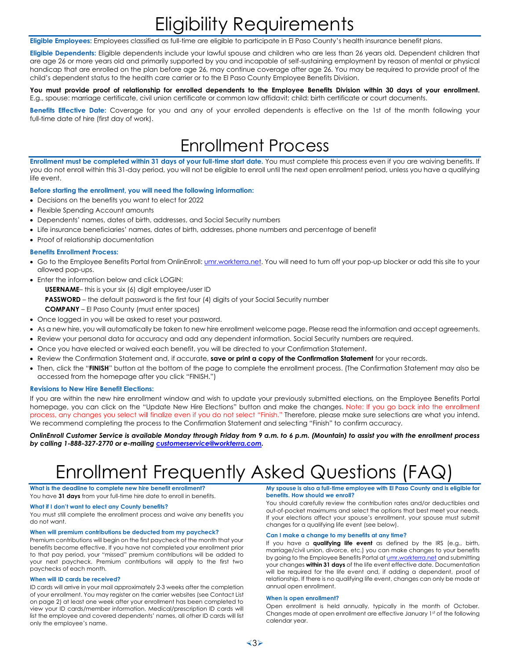# Eligibility Requirements

<span id="page-2-0"></span>**Eligible Employees:** Employees classified as full-time are eligible to participate in El Paso County's health insurance benefit plans.

**Eligible Dependents:** Eligible dependents include your lawful spouse and children who are less than 26 years old. Dependent children that are age 26 or more years old and primarily supported by you and incapable of self-sustaining employment by reason of mental or physical handicap that are enrolled on the plan before age 26, may continue coverage after age 26. You may be required to provide proof of the child's dependent status to the health care carrier or to the El Paso County Employee Benefits Division.

#### **You must provide proof of relationship for enrolled dependents to the Employee Benefits Division within 30 days of your enrollment.** E.g., spouse: marriage certificate, civil union certificate or common law affidavit; child: birth certificate or court documents.

**Benefits Effective Date:** Coverage for you and any of your enrolled dependents is effective on the 1st of the month following your full-time date of hire (first day of work).

### Enrollment Process

<span id="page-2-1"></span>**Enrollment must be completed within 31 days of your full-time start date.** You must complete this process even if you are waiving benefits. If you do not enroll within this 31-day period, you will not be eligible to enroll until the next open enrollment period, unless you have a qualifying life event.

#### **Before starting the enrollment, you will need the following information:**

- Decisions on the benefits you want to elect for 2022
- Flexible Spending Account amounts
- Dependents' names, dates of birth, addresses, and Social Security numbers
- Life insurance beneficiaries' names, dates of birth, addresses, phone numbers and percentage of benefit
- Proof of relationship documentation

#### **Benefits Enrollment Process:**

- Go to the Employee Benefits Portal from OnlinEnroll: [umr.workterra.net.](https://umr.workterra.net/) You will need to turn off your pop-up blocker or add this site to your allowed pop-ups.
- Enter the information below and click LOGIN:

**USERNAME**– this is your six (6) digit employee/user ID

**PASSWORD** – the default password is the first four (4) digits of your Social Security number

**COMPANY** – El Paso County (must enter spaces)

- Once logged in you will be asked to reset your password.
- As a new hire, you will automatically be taken to new hire enrollment welcome page. Please read the information and accept agreements.
- Review your personal data for accuracy and add any dependent information. Social Security numbers are required.
- Once you have elected or waived each benefit, you will be directed to your Confirmation Statement.
- Review the Confirmation Statement and, if accurate, **save or print a copy of the Confirmation Statement** for your records.
- Then, click the "**FINISH**" button at the bottom of the page to complete the enrollment process. (The Confirmation Statement may also be accessed from the homepage after you click "FINISH.")

#### **Revisions to New Hire Benefit Elections:**

If you are within the new hire enrollment window and wish to update your previously submitted elections, on the Employee Benefits Portal homepage, you can click on the "Update New Hire Elections" button and make the changes. Note: If you go back into the enrollment process, any changes you select will finalize even if you do not select "Finish." Therefore, please make sure selections are what you intend. We recommend completing the process to the Confirmation Statement and selecting "Finish" to confirm accuracy.

*OnlinEnroll Customer Service is available Monday through Friday from 9 a.m. to 6 p.m. (Mountain) to assist you with the enrollment process by calling 1-888-327-2770 or e-mailin[g customerservice@workterra.com.](mailto:customerservice@workterra.com)*

# Enrollment Frequently Asked Questions (FAQ)

<span id="page-2-2"></span>**What is the deadline to complete new hire benefit enrollment?** You have **31 days** from your full-time hire date to enroll in benefits.

#### **What if I don't want to elect any County benefits?**

You must still complete the enrollment process and waive any benefits you do not want.

#### **When will premium contributions be deducted from my paycheck?**

Premium contributions will begin on the first paycheck of the month that your benefits become effective. If you have not completed your enrollment prior to that pay period, your "missed" premium contributions will be added to your next paycheck. Premium contributions will apply to the first two paychecks of each month.

#### **When will ID cards be received?**

ID cards will arrive in your mail approximately 2-3 weeks after the completion of your enrollment. You may register on the carrier websites [\(see Contact List](#page-1-0)  [on page 2\)](#page-1-0) at least one week after your enrollment has been completed to view your ID cards/member information. Medical/prescription ID cards will list the employee and covered dependents' names, all other ID cards will list only the employee's name.

**My spouse is also a full-time employee with El Paso County and is eligible for benefits. How should we enroll?** 

You should carefully review the contribution rates and/or deductibles and out-of-pocket maximums and select the options that best meet your needs. If your elections affect your spouse's enrollment, your spouse must submit changes for a qualifying life event (see below).

#### **Can I make a change to my benefits at any time?**

If you have a **qualifying life event** as defined by the IRS (e.g., birth, marriage/civil union, divorce, etc.) you can make changes to your benefits by going to the Employee Benefits Portal at **umr.workterra.net** and submitting your changes **within 31 days** of the life event effective date. Documentation will be required for the life event and, if adding a dependent, proof of relationship. If there is no qualifying life event, changes can only be made at annual open enrollment.

#### **When is open enrollment?**

Open enrollment is held annually, typically in the month of October. Changes made at open enrollment are effective January 1st of the following calendar year.

3➢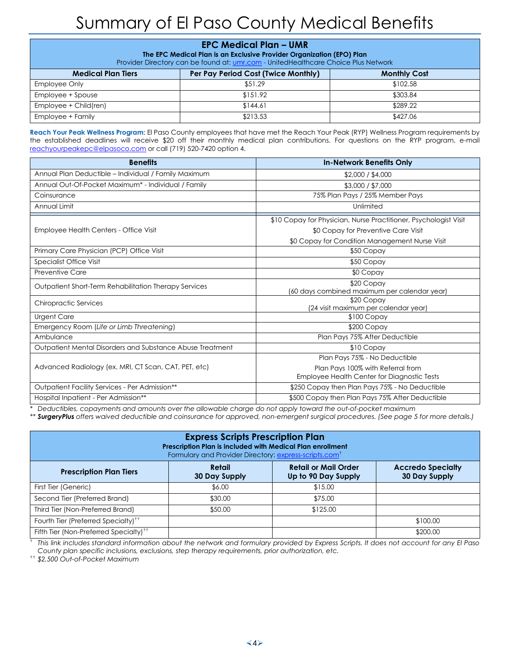# Summary of El Paso County Medical Benefits

<span id="page-3-0"></span>

| <b>EPC Medical Plan - UMR</b><br>The EPC Medical Plan is an Exclusive Provider Organization (EPO) Plan<br>Provider Directory can be found at: umr.com - UnitedHealthcare Choice Plus Network |          |          |  |  |
|----------------------------------------------------------------------------------------------------------------------------------------------------------------------------------------------|----------|----------|--|--|
| Per Pay Period Cost (Twice Monthly)<br><b>Medical Plan Tiers</b><br><b>Monthly Cost</b>                                                                                                      |          |          |  |  |
| Employee Only                                                                                                                                                                                | \$51.29  | \$102.58 |  |  |
| Employee + Spouse                                                                                                                                                                            | \$151.92 | \$303.84 |  |  |
| Employee + Child(ren)                                                                                                                                                                        | \$144.61 | \$289.22 |  |  |
| Employee + Family                                                                                                                                                                            | \$213.53 | \$427.06 |  |  |

<span id="page-3-2"></span>**Reach Your Peak Wellness Program:** El Paso County employees that have met the Reach Your Peak (RYP) Wellness Program requirements by the established deadlines will receive \$20 off their monthly medical plan contributions*.* For questions on the RYP program, e-mail [reachyourpeakepc@elpasoco.com](mailto:reachyourpeakepc@elpasoco.com) or call (719) 520-7420 option 4.

| <b>Benefits</b>                                           | <b>In-Network Benefits Only</b>                                  |
|-----------------------------------------------------------|------------------------------------------------------------------|
| Annual Plan Deductible - Individual / Family Maximum      | \$2,000 / \$4,000                                                |
| Annual Out-Of-Pocket Maximum* - Individual / Family       | \$3,000 / \$7,000                                                |
| Coinsurance                                               | 75% Plan Pays / 25% Member Pays                                  |
| Annual Limit                                              | Unlimited                                                        |
|                                                           | \$10 Copay for Physician, Nurse Practitioner, Psychologist Visit |
| Employee Health Centers - Office Visit                    | \$0 Copay for Preventive Care Visit                              |
|                                                           | \$0 Copay for Condition Management Nurse Visit                   |
| Primary Care Physician (PCP) Office Visit                 | \$50 Copay                                                       |
| Specialist Office Visit                                   | \$50 Copay                                                       |
| <b>Preventive Care</b>                                    | \$0 Copay                                                        |
| Outpatient Short-Term Rehabilitation Therapy Services     | \$20 Copay                                                       |
|                                                           | (60 days combined maximum per calendar year)                     |
| <b>Chiropractic Services</b>                              | \$20 Copay                                                       |
|                                                           | (24 visit maximum per calendar year)                             |
| <b>Urgent Care</b>                                        | $$100$ Copay                                                     |
| Emergency Room (Life or Limb Threatening)                 | \$200 Copay                                                      |
| Ambulance                                                 | Plan Pays 75% After Deductible                                   |
| Outpatient Mental Disorders and Substance Abuse Treatment | \$10 Copay                                                       |
|                                                           | Plan Pays 75% - No Deductible                                    |
| Advanced Radiology (ex. MRI, CT Scan, CAT, PET, etc)      | Plan Pays 100% with Referral from                                |
|                                                           | Employee Health Center for Diagnostic Tests                      |
| Outpatient Facility Services - Per Admission**            | \$250 Copay then Plan Pays 75% - No Deductible                   |
| Hospital Inpatient - Per Admission**                      | \$500 Copay then Plan Pays 75% After Deductible                  |

\* *Deductibles, copayments and amounts over the allowable charge do not apply toward the out-of-pocket maximum*

*\*\* SurgeryPlus [offers waived deductible and coinsurance for approved, non-emergent surgical procedures.](#page-4-1) (See page 5 for more details.)*

<span id="page-3-1"></span>

| <b>Express Scripts Prescription Plan</b><br>Prescription Plan is included with Medical Plan enrollment<br>Formulary and Provider Directory: express-scripts.com <sup>t</sup> |                                |                                                    |                                                  |  |  |
|------------------------------------------------------------------------------------------------------------------------------------------------------------------------------|--------------------------------|----------------------------------------------------|--------------------------------------------------|--|--|
| <b>Prescription Plan Tiers</b>                                                                                                                                               | Retail<br><b>30 Day Supply</b> | <b>Retail or Mail Order</b><br>Up to 90 Day Supply | <b>Accredo Specialty</b><br><b>30 Day Supply</b> |  |  |
| First Tier (Generic)                                                                                                                                                         | \$6.00                         | \$15.00                                            |                                                  |  |  |
| Second Tier (Preferred Brand)                                                                                                                                                | \$30.00                        | \$75.00                                            |                                                  |  |  |
| Third Tier (Non-Preferred Brand)                                                                                                                                             | \$50.00                        | \$125.00                                           |                                                  |  |  |
| Fourth Tier (Preferred Specialty) <sup>++</sup>                                                                                                                              |                                |                                                    | \$100.00                                         |  |  |
| Fifth Tier (Non-Preferred Specialty) <sup>††</sup>                                                                                                                           |                                |                                                    | \$200.00                                         |  |  |

† *This link includes standard information about the network and formulary provided by Express Scripts. It does not account for any El Paso County plan specific inclusions, exclusions, step therapy requirements, prior authorization, etc.*

†† *\$2,500 Out-of-Pocket Maximum*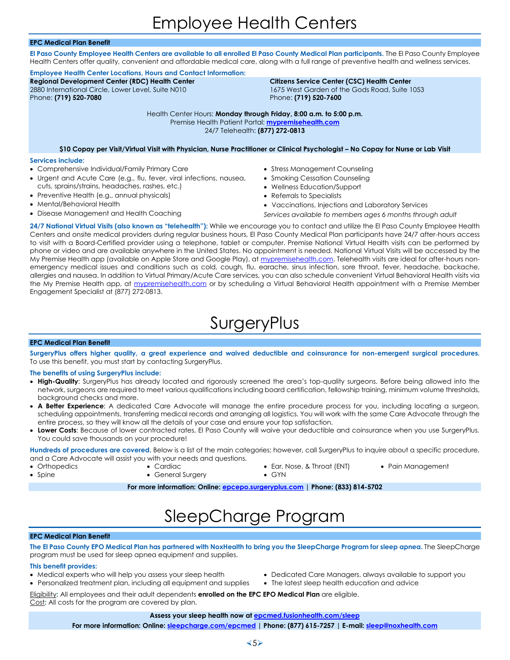#### <span id="page-4-0"></span>**EPC Medical Plan Benefit**

**El Paso County Employee Health Centers are available to all enrolled El Paso County Medical Plan participants.** The El Paso County Employee Health Centers offer quality, convenient and affordable medical care, along with a full range of preventive health and wellness services.

**Employee Health Center Locations, Hours and Contact Information: Regional Development Center (RDC) Health Center**  2880 International Circle, Lower Level, Suite N010 Phone: **(719) 520-7080**

#### **Citizens Service Center (CSC) Health Center** 1675 West Garden of the Gods Road, Suite 1053 Phone: **(719) 520-7600**

Health Center Hours: **Monday through Friday, 8:00 a.m. to 5:00 p.m.** Premise Health Patient Portal: **[mypremisehealth.com](https://mypremisehealth.com/)** 24/7 Telehealth: **(877) 272-0813**

**\$10 Copay per Visit/Virtual Visit with Physician, Nurse Practitioner or Clinical Psychologist – No Copay for Nurse or Lab Visit**

#### **Services include:**

- Comprehensive Individual/Family Primary Care
- Urgent and Acute Care (e.g., flu, fever, viral infections, nausea, cuts, sprains/strains, headaches, rashes, etc.)
- Preventive Health (e.g., annual physicals)
- Mental/Behavioral Health
- Disease Management and Health Coaching
- Stress Management Counseling
- Smoking Cessation Counseling
- Wellness Education/Support
- Referrals to Specialists
- Vaccinations, Injections and Laboratory Services
- *Services available to members ages 6 months through adult*

**24/7 National Virtual Visits (also known as "telehealth"):** While we encourage you to contact and utilize the El Paso County Employee Health Centers and onsite medical providers during regular business hours, El Paso County Medical Plan participants have 24/7 after-hours access to visit with a Board-Certified provider using a telephone, tablet or computer. Premise National Virtual Health visits can be performed by phone or video and are available anywhere in the United States. No appointment is needed. National Virtual Visits will be accessed by the My Premise Health app (available on Apple Store and Google Play), at [mypremisehealth.com.](http://mypremisehealth.com/) Telehealth visits are ideal for after-hours nonemergency medical issues and conditions such as cold, cough, flu, earache, sinus infection, sore throat, fever, headache, backache, allergies and nausea. In addition to Virtual Primary/Acute Care services, you can also schedule convenient Virtual Behavioral Health visits via the My Premise Health app, at [mypremisehealth.com](http://mypremisehealth.com/) or by scheduling a Virtual Behavioral Health appointment with a Premise Member Engagement Specialist at (877) 272-0813.

### SurgeryPlus

#### <span id="page-4-1"></span>**EPC Medical Plan Benefit**

**SurgeryPlus offers higher quality, a great experience and waived deductible and coinsurance for non-emergent surgical procedures.** To use this benefit, you must start by contacting SurgeryPlus.

#### **The benefits of using SurgeryPlus include:**

- **High-Quality**: SurgeryPlus has already located and rigorously screened the area's top-quality surgeons. Before being allowed into the network, surgeons are required to meet various qualifications including board certification, fellowship training, minimum volume thresholds, background checks and more.
- **A Better Experience**: A dedicated Care Advocate will manage the entire procedure process for you, including locating a surgeon, scheduling appointments, transferring medical records and arranging all logistics. You will work with the same Care Advocate through the entire process, so they will know all the details of your case and ensure your top satisfaction.
- **Lower Costs**: Because of lower contracted rates, El Paso County will waive your deductible and coinsurance when you use SurgeryPlus. You could save thousands on your procedure!

**Hundreds of procedures are covered.** Below is a list of the main categories; however, call SurgeryPlus to inquire about a specific procedure, and a Care Advocate will assist you with your needs and questions.

• Orthopedics

• Spine

- 
- Cardiac • General Surgery
- Ear, Nose, & Throat (ENT) • GYN
- Pain Management

**For more information: Online: [epcepo.surgeryplus.com](http://epcepo.surgeryplus.com/) | Phone: (833) 814-5702**

# SleepCharge Program

#### <span id="page-4-2"></span>**EPC Medical Plan Benefit**

**The El Paso County EPO Medical Plan has partnered with NoxHealth to bring you the SleepCharge Program for sleep apnea.** The SleepCharge program must be used for sleep apnea equipment and supplies.

#### **This benefit provides:**

- Medical experts who will help you assess your sleep health
- Personalized treatment plan, including all equipment and supplies
- Dedicated Care Managers, always available to support you
- The latest sleep health education and advice

Eligibility**:** All employees and their adult dependents **enrolled on the EPC EPO Medical Plan** are eligible. Cost**:** All costs for the program are covered by plan.

#### **Assess your sleep health now at [epcmed.fusionhealth.com/sleep](http://epcmed.fusionhealth.com/sleep)**

**For more information: Online: [sleepcharge.com/epcmed](http://sleepcharge.com/epcmed) | Phone: (877) 615-7257 | E-mail[: sleep@noxhealth.com](mailto:sleep@noxhealth.com)**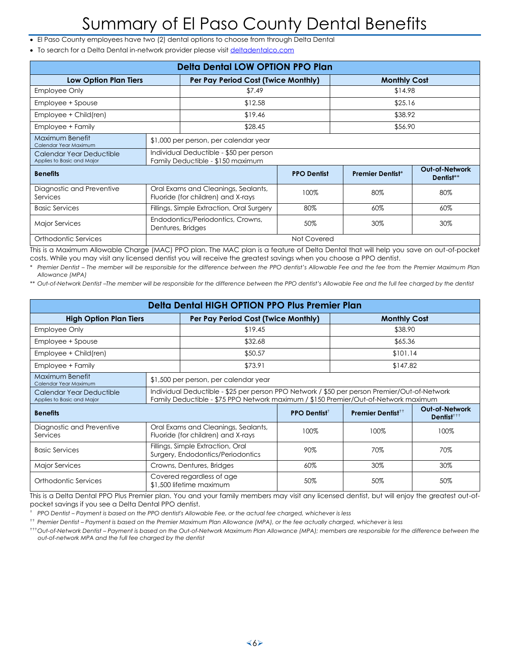# Summary of El Paso County Dental Benefits

- <span id="page-5-0"></span>• El Paso County employees have two (2) dental options to choose from through Delta Dental
- To search for a Delta Dental in-network provider please visi[t deltadentalco.com](http://www.deltadentalco.com/)

| <b>Delta Dental LOW OPTION PPO Plan</b>                |                                                                              |                                                                           |                    |                         |                                    |                     |  |
|--------------------------------------------------------|------------------------------------------------------------------------------|---------------------------------------------------------------------------|--------------------|-------------------------|------------------------------------|---------------------|--|
| <b>Low Option Plan Tiers</b>                           | Per Pay Period Cost (Twice Monthly)                                          |                                                                           |                    |                         |                                    | <b>Monthly Cost</b> |  |
| <b>Employee Only</b>                                   |                                                                              | \$7.49                                                                    |                    | \$14.98                 |                                    |                     |  |
| Employee + Spouse                                      |                                                                              | \$12.58                                                                   |                    | \$25.16                 |                                    |                     |  |
| Employee + Child(ren)                                  |                                                                              | \$19.46                                                                   |                    | \$38.92                 |                                    |                     |  |
| Employee + Family                                      |                                                                              | \$28.45                                                                   |                    | \$56.90                 |                                    |                     |  |
| Maximum Benefit<br>Calendar Year Maximum               |                                                                              | \$1,000 per person, per calendar year                                     |                    |                         |                                    |                     |  |
| Calendar Year Deductible<br>Applies to Basic and Major | Individual Deductible - \$50 per person<br>Family Deductible - \$150 maximum |                                                                           |                    |                         |                                    |                     |  |
| <b>Benefits</b>                                        |                                                                              |                                                                           | <b>PPO Dentist</b> | <b>Premier Dentist*</b> | <b>Out-of-Network</b><br>Dentist** |                     |  |
| Diagnostic and Preventive<br>Services                  |                                                                              | Oral Exams and Cleanings, Sealants,<br>Fluoride (for children) and X-rays | 100%               | 80%                     | 80%                                |                     |  |
| <b>Basic Services</b>                                  |                                                                              | Fillings, Simple Extraction, Oral Surgery                                 | 80%                | 60%                     | 60%                                |                     |  |
| <b>Major Services</b>                                  |                                                                              | Endodontics/Periodontics, Crowns,<br>30%<br>50%<br>Dentures, Bridges      |                    |                         | 30%                                |                     |  |
| Orthodontic Services                                   |                                                                              |                                                                           | Not Covered        |                         |                                    |                     |  |

This is a Maximum Allowable Charge (MAC) PPO plan. The MAC plan is a feature of Delta Dental that will help you save on out-of-pocket costs. While you may visit any licensed dentist you will receive the greatest savings when you choose a PPO dentist.

*\* Premier Dentist – The member will be responsible for the difference between the PPO dentist's Allowable Fee and the fee from the Premier Maximum Plan Allowance (MPA)*

\*\* Out-of-Network Dentist -The member will be responsible for the difference between the PPO dentist's Allowable Fee and the full fee charged by the dentist

| Delta Dental HIGH OPTION PPO Plus Premier Plan                       |                                                                                                                                                                                     |                                                                           |      |                               |                                         |
|----------------------------------------------------------------------|-------------------------------------------------------------------------------------------------------------------------------------------------------------------------------------|---------------------------------------------------------------------------|------|-------------------------------|-----------------------------------------|
| <b>High Option Plan Tiers</b><br>Per Pay Period Cost (Twice Monthly) |                                                                                                                                                                                     |                                                                           |      | <b>Monthly Cost</b>           |                                         |
| Employee Only                                                        |                                                                                                                                                                                     | \$19.45                                                                   |      | \$38.90                       |                                         |
| Employee + Spouse                                                    |                                                                                                                                                                                     | \$32.68                                                                   |      | \$65.36                       |                                         |
| Employee + Child(ren)                                                |                                                                                                                                                                                     | \$50.57                                                                   |      | \$101.14                      |                                         |
| Employee + Family                                                    |                                                                                                                                                                                     | \$73.91                                                                   |      | \$147.82                      |                                         |
| Maximum Benefit<br>Calendar Year Maximum                             |                                                                                                                                                                                     | \$1,500 per person, per calendar year                                     |      |                               |                                         |
| Calendar Year Deductible<br>Applies to Basic and Major               | Individual Deductible - \$25 per person PPO Network / \$50 per person Premier/Out-of-Network<br>Family Deductible - \$75 PPO Network maximum / \$150 Premier/Out-of-Network maximum |                                                                           |      |                               |                                         |
| <b>Benefits</b>                                                      |                                                                                                                                                                                     |                                                                           |      | Premier Dentist <sup>++</sup> | <b>Out-of-Network</b><br>$D$ entist $+$ |
| Diagnostic and Preventive<br>Services                                |                                                                                                                                                                                     | Oral Exams and Cleanings, Sealants,<br>Fluoride (for children) and X-rays | 100% | 100%                          | 100%                                    |
| <b>Basic Services</b>                                                |                                                                                                                                                                                     | Fillings, Simple Extraction, Oral<br>Surgery, Endodontics/Periodontics    | 90%  | 70%                           | 70%                                     |
| <b>Major Services</b>                                                |                                                                                                                                                                                     | Crowns, Dentures, Bridges                                                 | 60%  | 30%                           | 30%                                     |
| Orthodontic Services                                                 |                                                                                                                                                                                     | Covered regardless of age<br>\$1,500 lifetime maximum                     | 50%  | 50%                           | 50%                                     |

This is a Delta Dental PPO Plus Premier plan. You and your family members may visit any licensed dentist, but will enjoy the greatest out-ofpocket savings if you see a Delta Dental PPO dentist.

† *PPO Dentist – Payment is based on the PPO dentist's Allowable Fee, or the actual fee charged, whichever is less*

†† *Premier Dentist – Payment is based on the Premier Maximum Plan Allowance (MPA), or the fee actually charged, whichever is less*

†††*Out-of-Network Dentist – Payment is based on the Out-of-Network Maximum Plan Allowance (MPA); members are responsible for the difference between the out-of-network MPA and the full fee charged by the dentist*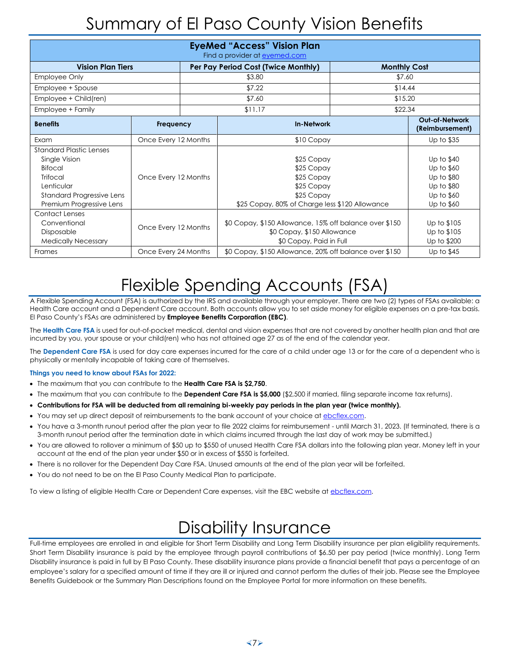# Summary of El Paso County Vision Benefits

<span id="page-6-0"></span>

| <b>EyeMed "Access" Vision Plan</b><br>Find a provider at eyemed.com                                                                                         |                      |                                                                                                                 |                                                                                                                      |         |                                                                                  |  |
|-------------------------------------------------------------------------------------------------------------------------------------------------------------|----------------------|-----------------------------------------------------------------------------------------------------------------|----------------------------------------------------------------------------------------------------------------------|---------|----------------------------------------------------------------------------------|--|
| <b>Vision Plan Tiers</b><br>Per Pay Period Cost (Twice Monthly)<br><b>Monthly Cost</b>                                                                      |                      |                                                                                                                 |                                                                                                                      |         |                                                                                  |  |
| <b>Employee Only</b>                                                                                                                                        |                      |                                                                                                                 | \$3.80                                                                                                               |         | \$7.60                                                                           |  |
| Employee + Spouse                                                                                                                                           |                      |                                                                                                                 | \$7.22                                                                                                               | \$14.44 |                                                                                  |  |
| Employee + Child(ren)                                                                                                                                       |                      |                                                                                                                 | \$7.60                                                                                                               | \$15.20 |                                                                                  |  |
| Employee + Family                                                                                                                                           |                      |                                                                                                                 | \$11.17                                                                                                              | \$22.34 |                                                                                  |  |
| <b>Benefits</b>                                                                                                                                             | Frequency            | <b>In-Network</b>                                                                                               |                                                                                                                      |         | <b>Out-of-Network</b><br>(Reimbursement)                                         |  |
| Exam                                                                                                                                                        | Once Every 12 Months |                                                                                                                 | \$10 Copay                                                                                                           |         | Up to \$35                                                                       |  |
| <b>Standard Plastic Lenses</b><br>Single Vision<br>Bifocal<br><b>Trifocal</b><br>Lenticular<br><b>Standard Progressive Lens</b><br>Premium Progressive Lens | Once Every 12 Months |                                                                                                                 | \$25 Copay<br>\$25 Copay<br>\$25 Copay<br>\$25 Copay<br>\$25 Copay<br>\$25 Copay, 80% of Charge less \$120 Allowance |         | Up to \$40<br>Up to \$60<br>Up to \$80<br>Up to \$80<br>Up to \$60<br>Up to \$60 |  |
| <b>Contact Lenses</b><br>Conventional<br>Disposable<br><b>Medically Necessary</b>                                                                           | Once Every 12 Months | \$0 Copay, \$150 Allowance, 15% off balance over \$150<br>\$0 Copay, \$150 Allowance<br>\$0 Copay, Paid in Full |                                                                                                                      |         | Up to \$105<br>Up to \$105<br>Up to \$200                                        |  |
| Frames                                                                                                                                                      | Once Every 24 Months |                                                                                                                 | \$0 Copay, \$150 Allowance, 20% off balance over \$150<br>Up to $$45$                                                |         |                                                                                  |  |

# Flexible Spending Accounts (FSA)

<span id="page-6-1"></span>A Flexible Spending Account (FSA) is authorized by the IRS and available through your employer. There are two (2) types of FSAs available: a Health Care account and a Dependent Care account. Both accounts allow you to set aside money for eligible expenses on a pre-tax basis. El Paso County's FSAs are administered by **Employee Benefits Corporation (EBC)**.

The **Health Care FSA** is used for out-of-pocket medical, dental and vision expenses that are not covered by another health plan and that are incurred by you, your spouse or your child(ren) who has not attained age 27 as of the end of the calendar year.

The **Dependent Care FSA** is used for day care expenses incurred for the care of a child under age 13 or for the care of a dependent who is physically or mentally incapable of taking care of themselves.

#### **Things you need to know about FSAs for 2022:**

- The maximum that you can contribute to the **Health Care FSA is \$2,750**.
- The maximum that you can contribute to the **Dependent Care FSA is \$5,000** (\$2,500 if married, filing separate income tax returns).
- **Contributions for FSA will be deducted from all remaining bi-weekly pay periods in the plan year (twice monthly).**
- You may set up direct deposit of reimbursements to the bank account of your choice at [ebcflex.com.](http://www.ebcflex.com/)
- You have a 3-month runout period after the plan year to file 2022 claims for reimbursement until March 31, 2023. (If terminated, there is a 3-month runout period after the termination date in which claims incurred through the last day of work may be submitted.)
- You are allowed to rollover a minimum of \$50 up to \$550 of unused Health Care FSA dollars into the following plan year. Money left in your account at the end of the plan year under \$50 or in excess of \$550 is forfeited.
- There is no rollover for the Dependent Day Care FSA. Unused amounts at the end of the plan year will be forfeited.
- You do not need to be on the El Paso County Medical Plan to participate.

To view a listing of eligible Health Care or Dependent Care expenses, visit the EBC website at [ebcflex.com.](http://www.ebcflex.com/)

### Disability Insurance

<span id="page-6-2"></span>Full-time employees are enrolled in and eligible for Short Term Disability and Long Term Disability insurance per plan eligibility requirements. Short Term Disability insurance is paid by the employee through payroll contributions of \$6.50 per pay period (twice monthly). Long Term Disability insurance is paid in full by El Paso County. These disability insurance plans provide a financial benefit that pays a percentage of an employee's salary for a specified amount of time if they are ill or injured and cannot perform the duties of their job. Please see the Employee Benefits Guidebook or the Summary Plan Descriptions found on the Employee Portal for more information on these benefits.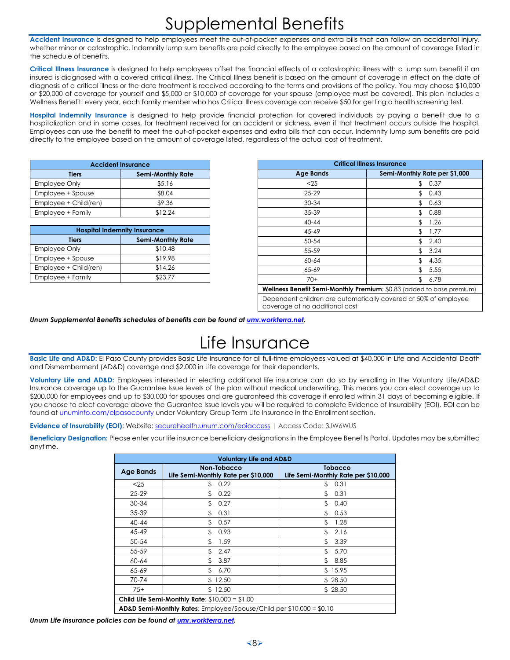# Supplemental Benefits

<span id="page-7-0"></span>**Accident Insurance** is designed to help employees meet the out-of-pocket expenses and extra bills that can follow an accidental injury, whether minor or catastrophic. Indemnity lump sum benefits are paid directly to the employee based on the amount of coverage listed in the schedule of benefits.

**Critical Illness Insurance** is designed to help employees offset the financial effects of a catastrophic illness with a lump sum benefit if an insured is diagnosed with a covered critical illness. The Critical Illness benefit is based on the amount of coverage in effect on the date of diagnosis of a critical illness or the date treatment is received according to the terms and provisions of the policy. You may choose \$10,000 or \$20,000 of coverage for yourself and \$5,000 or \$10,000 of coverage for your spouse (employee must be covered). This plan includes a Wellness Benefit: every year, each family member who has Critical Illness coverage can receive \$50 for getting a health screening test.

**Hospital Indemnity Insurance** is designed to help provide financial protection for covered individuals by paying a benefit due to a hospitalization and in some cases, for treatment received for an accident or sickness, even if that treatment occurs outside the hospital. Employees can use the benefit to meet the out-of-pocket expenses and extra bills that can occur. Indemnity lump sum benefits are paid directly to the employee based on the amount of coverage listed, regardless of the actual cost of treatment.

| <b>Accident Insurance</b> |                          |  |  |  |
|---------------------------|--------------------------|--|--|--|
| Tiers                     | <b>Semi-Monthly Rate</b> |  |  |  |
| <b>Employee Only</b>      | \$5.16                   |  |  |  |
| Employee + Spouse         | \$8.04                   |  |  |  |
| Employee + Child(ren)     | \$9.36                   |  |  |  |
| Employee + Family         | \$12.24                  |  |  |  |

| <b>Hospital Indemnity Insurance</b> |                          |  |  |  |
|-------------------------------------|--------------------------|--|--|--|
| Tiers                               | <b>Semi-Monthly Rate</b> |  |  |  |
| <b>Employee Only</b>                | \$10.48                  |  |  |  |
| Employee + Spouse                   | \$19.98                  |  |  |  |
| Employee + Child(ren)               | \$14.26                  |  |  |  |
| Employee + Family                   | \$23.77                  |  |  |  |

| <b>Critical Illness Insurance</b>                                                                 |                               |  |  |  |
|---------------------------------------------------------------------------------------------------|-------------------------------|--|--|--|
| <b>Age Bands</b>                                                                                  | Semi-Monthly Rate per \$1,000 |  |  |  |
| < 25                                                                                              | 0.37<br>\$                    |  |  |  |
| $25 - 29$                                                                                         | \$<br>0.43                    |  |  |  |
| 30-34                                                                                             | \$<br>0.63                    |  |  |  |
| 35-39                                                                                             | \$<br>0.88                    |  |  |  |
| $40 - 44$                                                                                         | \$<br>1.26                    |  |  |  |
| 45-49                                                                                             | \$<br>1.77                    |  |  |  |
| 50-54                                                                                             | \$<br>2.40                    |  |  |  |
| 55-59                                                                                             | \$<br>3.24                    |  |  |  |
| 60-64                                                                                             | \$<br>4.35                    |  |  |  |
| 65-69                                                                                             | \$<br>5.55                    |  |  |  |
| $70+$                                                                                             | \$<br>6.78                    |  |  |  |
| Wellness Benefit Semi-Monthly Premium: \$0.83 (added to base premium)                             |                               |  |  |  |
| Dependent children are automatically covered at 50% of employee<br>coverage at no additional cost |                               |  |  |  |

<span id="page-7-1"></span>*Unum Supplemental Benefits schedules of benefits can be found a[t umr.workterra.net.](https://umr.workterra.net/)*

# Life Insurance

**Basic Life and AD&D:** El Paso County provides Basic Life Insurance for all full-time employees valued at \$40,000 in Life and Accidental Death and Dismemberment (AD&D) coverage and \$2,000 in Life coverage for their dependents.

**Voluntary Life and AD&D:** Employees interested in electing additional life insurance can do so by enrolling in the Voluntary Life/AD&D Insurance coverage up to the Guarantee Issue levels of the plan without medical underwriting. This means you can elect coverage up to \$200,000 for employees and up to \$30,000 for spouses and are auaranteed this coverage if enrolled within 31 days of becoming eligible. If you choose to elect coverage above the Guarantee Issue levels you will be required to complete Evidence of Insurability (EOI). EOI can be found a[t unuminfo.com/elpasocounty](http://unuminfo.com/elpasocounty) under Voluntary Group Term Life Insurance in the Enrollment section.

**Evidence of Insurability (EOI)**: Website: [securehealth.unum.com/eoiaccess](http://securehealth.unum.com/eoiaccess) | Access Code: 3JW6WUS

**Beneficiary Designation:** Please enter your life insurance beneficiary designations in the Employee Benefits Portal. Updates may be submitted anytime.

| <b>Voluntary Life and AD&amp;D</b>                                              |                                                    |                                                       |  |  |
|---------------------------------------------------------------------------------|----------------------------------------------------|-------------------------------------------------------|--|--|
| <b>Age Bands</b>                                                                | Non-Tobacco<br>Life Semi-Monthly Rate per \$10,000 | <b>Tobacco</b><br>Life Semi-Monthly Rate per \$10,000 |  |  |
| $<$ 25                                                                          | 0.22<br>\$                                         | 0.31<br>\$                                            |  |  |
| $25 - 29$                                                                       | 0.22                                               | \$<br>0.31                                            |  |  |
| $30 - 34$                                                                       | 0.27                                               | \$<br>0.40                                            |  |  |
| 35-39                                                                           | \$.<br>0.31                                        | \$<br>0.53                                            |  |  |
| $40 - 44$                                                                       | 0.57                                               | 1.28<br>\$                                            |  |  |
| 45-49                                                                           | 0.93<br>\$                                         | \$<br>2.16                                            |  |  |
| $50 - 54$                                                                       | 1.59                                               | 3.39<br>\$                                            |  |  |
| 55-59                                                                           | \$<br>2.47                                         | \$<br>5.70                                            |  |  |
| $60 - 64$                                                                       | 3.87                                               | \$.<br>8.85                                           |  |  |
| 65-69                                                                           | 6.70                                               | 15.95<br>\$.                                          |  |  |
| 70-74                                                                           | 12.50<br>\$.                                       | \$28.50                                               |  |  |
| $75+$                                                                           | \$12.50                                            | \$28.50                                               |  |  |
| Child Life Semi-Monthly Rate: $$10,000 = $1,00$                                 |                                                    |                                                       |  |  |
| <b>AD&amp;D Semi-Monthly Rates:</b> Employee/Spouse/Child per $$10,000 = $0.10$ |                                                    |                                                       |  |  |

*Unum Life Insurance policies can be found a[t umr.workterra.net.](https://umr.workterra.net/)*